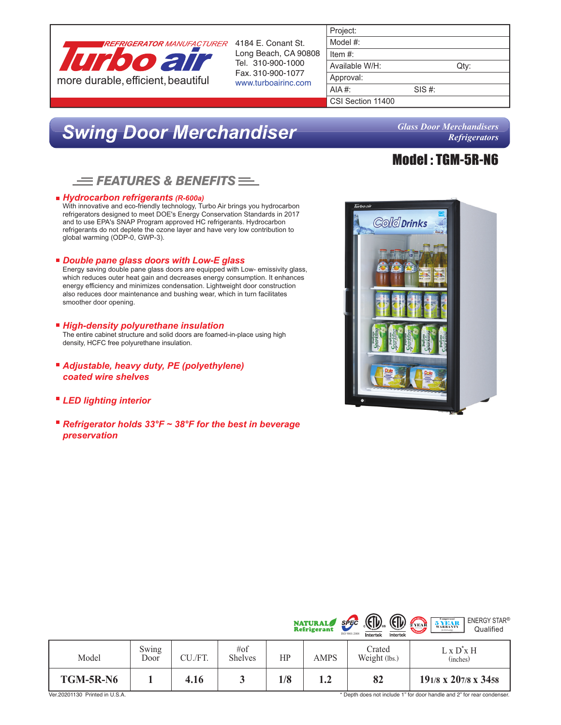

Long Beach, CA 90808 Tel. 310-900-1000

|        | Qty: |
|--------|------|
|        |      |
| SIS #: |      |
|        |      |
|        |      |

# *Swing Door Merchandiser*

*Glass Door Merchandisers Refrigerators*

Model : TGM-5R-N6

## *FEATURES & BENEFITS*

### *Hydrocarbon refrigerants (R-600a)*

With innovative and eco-friendly technology, Turbo Air brings you hydrocarbon refrigerators designed to meet DOE's Energy Conservation Standards in 2017 and to use EPA's SNAP Program approved HC refrigerants. Hydrocarbon refrigerants do not deplete the ozone layer and have very low contribution to global warming (ODP-0, GWP-3).

### *Double pane glass doors with Low-E glass*

Energy saving double pane glass doors are equipped with Low- emissivity glass, which reduces outer heat gain and decreases energy consumption. It enhances energy efficiency and minimizes condensation. Lightweight door construction also reduces door maintenance and bushing wear, which in turn facilitates smoother door opening.

### *High-density polyurethane insulation*

The entire cabinet structure and solid doors are foamed-in-place using high density, HCFC free polyurethane insulation.

- *Adjustable, heavy duty, PE (polyethylene) coated wire shelves*
- *LED lighting interior*
- Refrigerator holds 33°F ~ 38°F for the best in beverage *preservation*



| <b>TGM-5R-N6</b> |               | 4.16    |                          | 1/8 | 1.2                                  | 82                                                                                                   | 191/8 x 207/8 x 3458                                                             |
|------------------|---------------|---------|--------------------------|-----|--------------------------------------|------------------------------------------------------------------------------------------------------|----------------------------------------------------------------------------------|
| Model            | Swing<br>Door | CU./FT. | # $of$<br><b>Shelves</b> | HP  | AMPS                                 | Crated<br>Weight (lbs.)                                                                              | L x D'x H<br>(inches)                                                            |
|                  |               |         |                          |     | <b>NATURAL</b><br><b>Refrigerant</b> | $\left(\frac{1}{2}\right)$<br><b>EIF</b><br>$S$ $F$ $F$ $C$<br>ISO 9001:2008<br>Intertek<br>Intertek | <b>ENERGY STAR®</b><br><b>SYEAR</b><br>2 YEAR<br>Qualified<br>$(U.S.A.$ orly $)$ |

\* Depth does not include 1" for door handle and 2" for rear condenser.

 $\sqrt{2}$